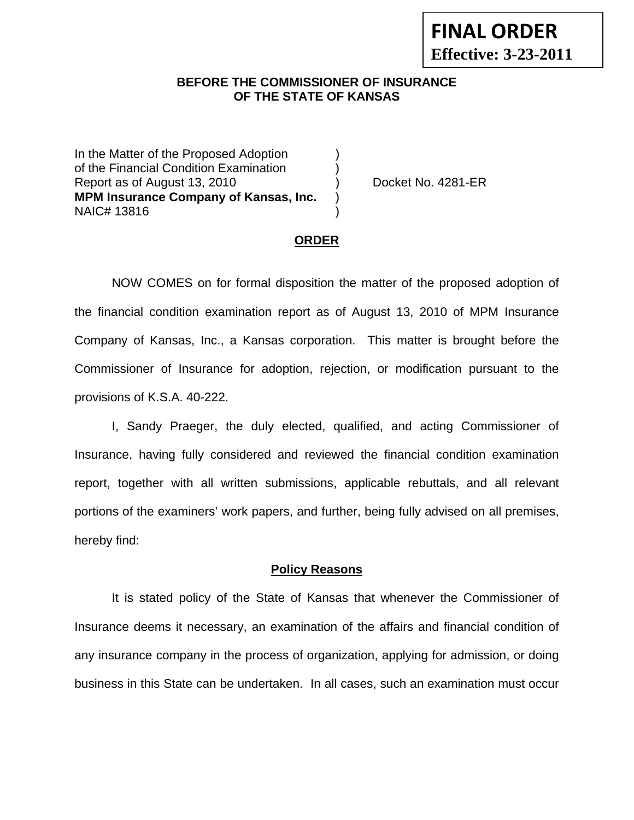## **BEFORE THE COMMISSIONER OF INSURANCE OF THE STATE OF KANSAS**

In the Matter of the Proposed Adoption of the Financial Condition Examination ) Report as of August 13, 2010 (a) Cocket No. 4281-ER **MPM Insurance Company of Kansas, Inc.** ) NAIC# 13816 )

### **ORDER**

 NOW COMES on for formal disposition the matter of the proposed adoption of the financial condition examination report as of August 13, 2010 of MPM Insurance Company of Kansas, Inc., a Kansas corporation. This matter is brought before the Commissioner of Insurance for adoption, rejection, or modification pursuant to the provisions of K.S.A. 40-222.

 I, Sandy Praeger, the duly elected, qualified, and acting Commissioner of Insurance, having fully considered and reviewed the financial condition examination report, together with all written submissions, applicable rebuttals, and all relevant portions of the examiners' work papers, and further, being fully advised on all premises, hereby find:

#### **Policy Reasons**

 It is stated policy of the State of Kansas that whenever the Commissioner of Insurance deems it necessary, an examination of the affairs and financial condition of any insurance company in the process of organization, applying for admission, or doing business in this State can be undertaken. In all cases, such an examination must occur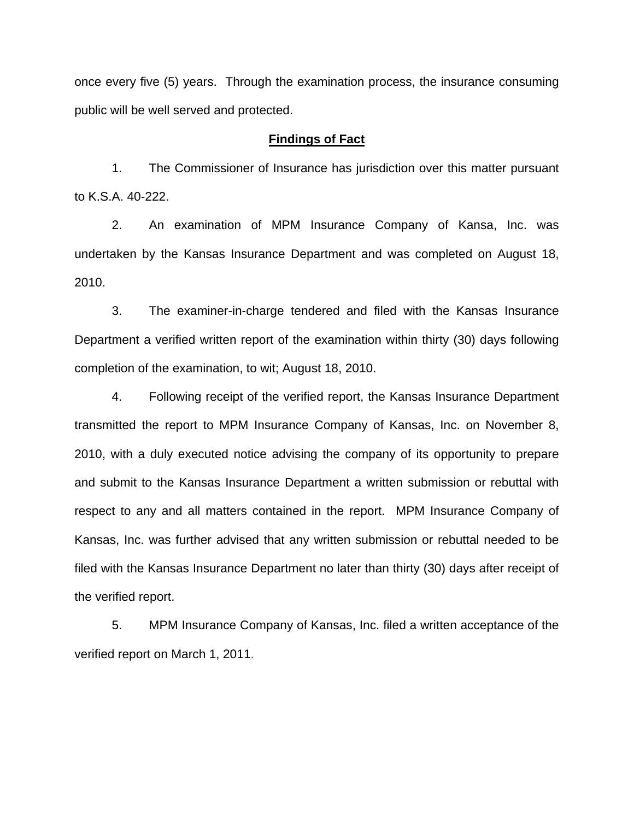once every five (5) years. Through the examination process, the insurance consuming public will be well served and protected.

#### **Findings of Fact**

1. The Commissioner of Insurance has jurisdiction over this matter pursuant to K.S.A. 40-222.

2. An examination of MPM Insurance Company of Kansa, Inc. was undertaken by the Kansas Insurance Department and was completed on August 18, 2010.

3. The examiner-in-charge tendered and filed with the Kansas Insurance Department a verified written report of the examination within thirty (30) days following completion of the examination, to wit; August 18, 2010.

4. Following receipt of the verified report, the Kansas Insurance Department transmitted the report to MPM Insurance Company of Kansas, Inc. on November 8, 2010, with a duly executed notice advising the company of its opportunity to prepare and submit to the Kansas Insurance Department a written submission or rebuttal with respect to any and all matters contained in the report. MPM Insurance Company of Kansas, Inc. was further advised that any written submission or rebuttal needed to be filed with the Kansas Insurance Department no later than thirty (30) days after receipt of the verified report.

5. MPM Insurance Company of Kansas, Inc. filed a written acceptance of the verified report on March 1, 2011.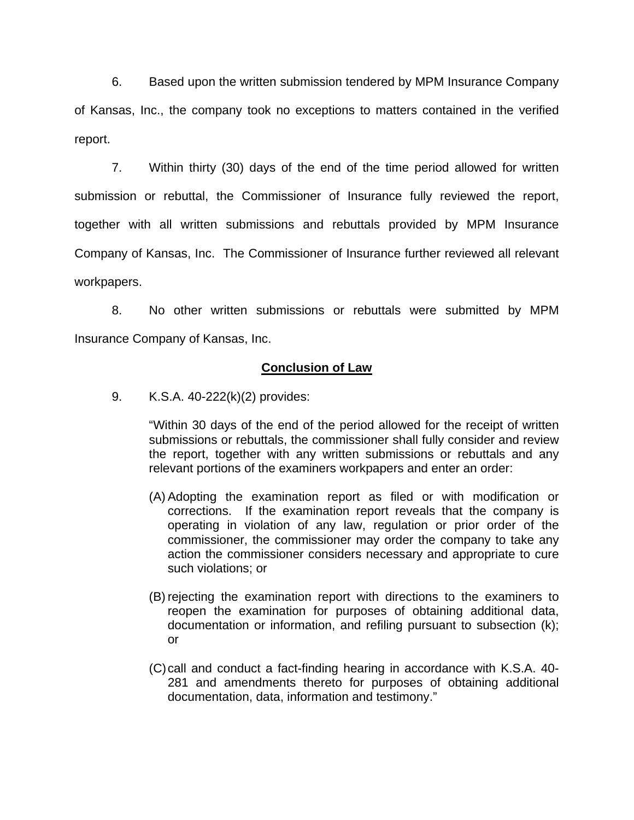6. Based upon the written submission tendered by MPM Insurance Company of Kansas, Inc., the company took no exceptions to matters contained in the verified report.

7. Within thirty (30) days of the end of the time period allowed for written submission or rebuttal, the Commissioner of Insurance fully reviewed the report, together with all written submissions and rebuttals provided by MPM Insurance Company of Kansas, Inc. The Commissioner of Insurance further reviewed all relevant workpapers.

8. No other written submissions or rebuttals were submitted by MPM Insurance Company of Kansas, Inc.

## **Conclusion of Law**

9. K.S.A. 40-222(k)(2) provides:

"Within 30 days of the end of the period allowed for the receipt of written submissions or rebuttals, the commissioner shall fully consider and review the report, together with any written submissions or rebuttals and any relevant portions of the examiners workpapers and enter an order:

- (A) Adopting the examination report as filed or with modification or corrections. If the examination report reveals that the company is operating in violation of any law, regulation or prior order of the commissioner, the commissioner may order the company to take any action the commissioner considers necessary and appropriate to cure such violations; or
- (B) rejecting the examination report with directions to the examiners to reopen the examination for purposes of obtaining additional data, documentation or information, and refiling pursuant to subsection (k); or
- (C) call and conduct a fact-finding hearing in accordance with K.S.A. 40- 281 and amendments thereto for purposes of obtaining additional documentation, data, information and testimony."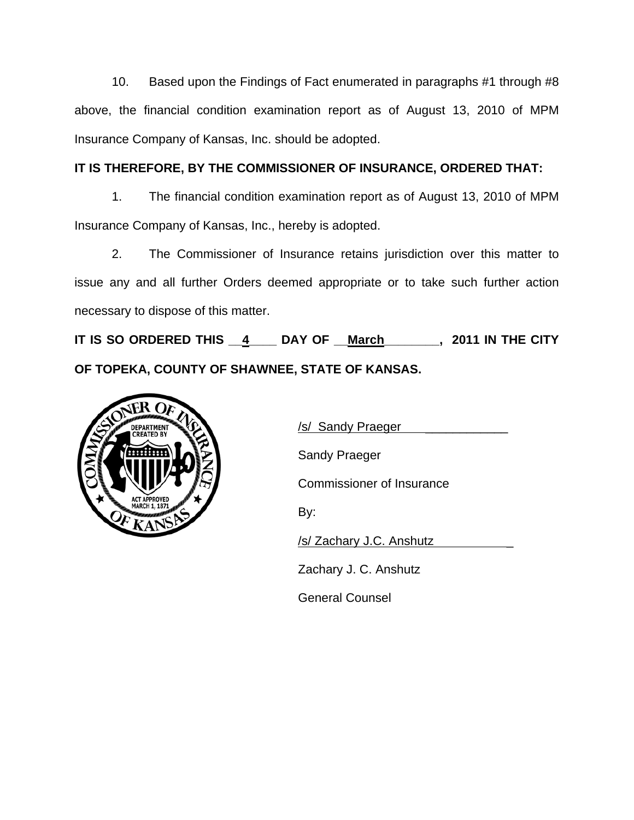10. Based upon the Findings of Fact enumerated in paragraphs #1 through #8 above, the financial condition examination report as of August 13, 2010 of MPM Insurance Company of Kansas, Inc. should be adopted.

# **IT IS THEREFORE, BY THE COMMISSIONER OF INSURANCE, ORDERED THAT:**

1. The financial condition examination report as of August 13, 2010 of MPM Insurance Company of Kansas, Inc., hereby is adopted.

2. The Commissioner of Insurance retains jurisdiction over this matter to issue any and all further Orders deemed appropriate or to take such further action necessary to dispose of this matter.

**IT IS SO ORDERED THIS \_\_4\_\_\_\_ DAY OF \_\_March\_\_\_\_\_\_\_\_, 2011 IN THE CITY OF TOPEKA, COUNTY OF SHAWNEE, STATE OF KANSAS.** 



Sandy Praeger

Commissioner of Insurance

/s/ Zachary J.C. Anshutz \_

Zachary J. C. Anshutz

General Counsel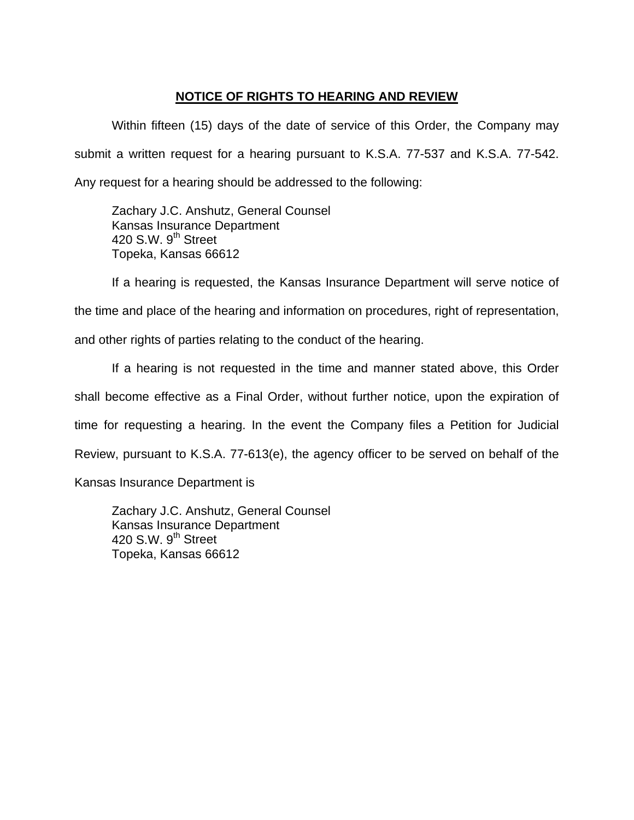## **NOTICE OF RIGHTS TO HEARING AND REVIEW**

Within fifteen (15) days of the date of service of this Order, the Company may submit a written request for a hearing pursuant to K.S.A. 77-537 and K.S.A. 77-542. Any request for a hearing should be addressed to the following:

 Zachary J.C. Anshutz, General Counsel Kansas Insurance Department 420 S.W.  $9<sup>th</sup>$  Street Topeka, Kansas 66612

If a hearing is requested, the Kansas Insurance Department will serve notice of the time and place of the hearing and information on procedures, right of representation, and other rights of parties relating to the conduct of the hearing.

If a hearing is not requested in the time and manner stated above, this Order shall become effective as a Final Order, without further notice, upon the expiration of time for requesting a hearing. In the event the Company files a Petition for Judicial Review, pursuant to K.S.A. 77-613(e), the agency officer to be served on behalf of the Kansas Insurance Department is

 Zachary J.C. Anshutz, General Counsel Kansas Insurance Department 420 S.W.  $9<sup>th</sup>$  Street Topeka, Kansas 66612